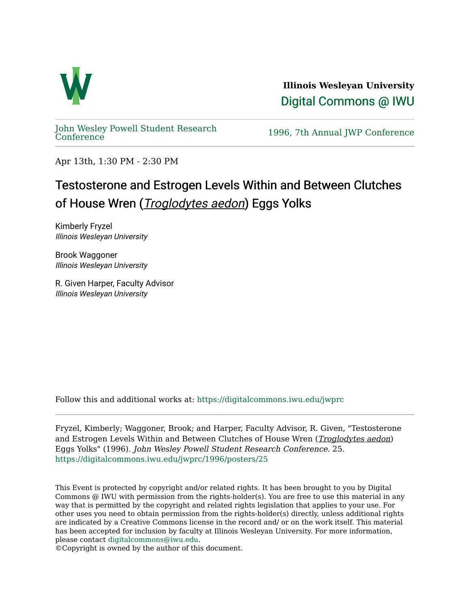

**Illinois Wesleyan University**  [Digital Commons @ IWU](https://digitalcommons.iwu.edu/) 

[John Wesley Powell Student Research](https://digitalcommons.iwu.edu/jwprc) 

1996, 7th Annual JWP [Conference](https://digitalcommons.iwu.edu/jwprc)

Apr 13th, 1:30 PM - 2:30 PM

## Testosterone and Estrogen Levels Within and Between Clutches of House Wren (*Troglodytes aedon*) Eggs Yolks

Kimberly Fryzel Illinois Wesleyan University

Brook Waggoner Illinois Wesleyan University

R. Given Harper, Faculty Advisor Illinois Wesleyan University

Follow this and additional works at: [https://digitalcommons.iwu.edu/jwprc](https://digitalcommons.iwu.edu/jwprc?utm_source=digitalcommons.iwu.edu%2Fjwprc%2F1996%2Fposters%2F25&utm_medium=PDF&utm_campaign=PDFCoverPages) 

Fryzel, Kimberly; Waggoner, Brook; and Harper, Faculty Advisor, R. Given, "Testosterone and Estrogen Levels Within and Between Clutches of House Wren (Troglodytes aedon) Eggs Yolks" (1996). John Wesley Powell Student Research Conference. 25. [https://digitalcommons.iwu.edu/jwprc/1996/posters/25](https://digitalcommons.iwu.edu/jwprc/1996/posters/25?utm_source=digitalcommons.iwu.edu%2Fjwprc%2F1996%2Fposters%2F25&utm_medium=PDF&utm_campaign=PDFCoverPages)

This Event is protected by copyright and/or related rights. It has been brought to you by Digital Commons @ IWU with permission from the rights-holder(s). You are free to use this material in any way that is permitted by the copyright and related rights legislation that applies to your use. For other uses you need to obtain permission from the rights-holder(s) directly, unless additional rights are indicated by a Creative Commons license in the record and/ or on the work itself. This material has been accepted for inclusion by faculty at Illinois Wesleyan University. For more information, please contact [digitalcommons@iwu.edu.](mailto:digitalcommons@iwu.edu)

©Copyright is owned by the author of this document.